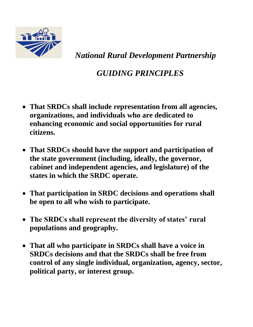

 *National Rural Development Partnership*

## *GUIDING PRINCIPLES*

- **That SRDCs shall include representation from all agencies, organizations, and individuals who are dedicated to enhancing economic and social opportunities for rural citizens.**
- **That SRDCs should have the support and participation of the state government (including, ideally, the governor, cabinet and independent agencies, and legislature) of the states in which the SRDC operate.**
- **That participation in SRDC decisions and operations shall be open to all who wish to participate.**
- **The SRDCs shall represent the diversity of states' rural populations and geography.**
- **That all who participate in SRDCs shall have a voice in SRDCs decisions and that the SRDCs shall be free from control of any single individual, organization, agency, sector, political party, or interest group.**